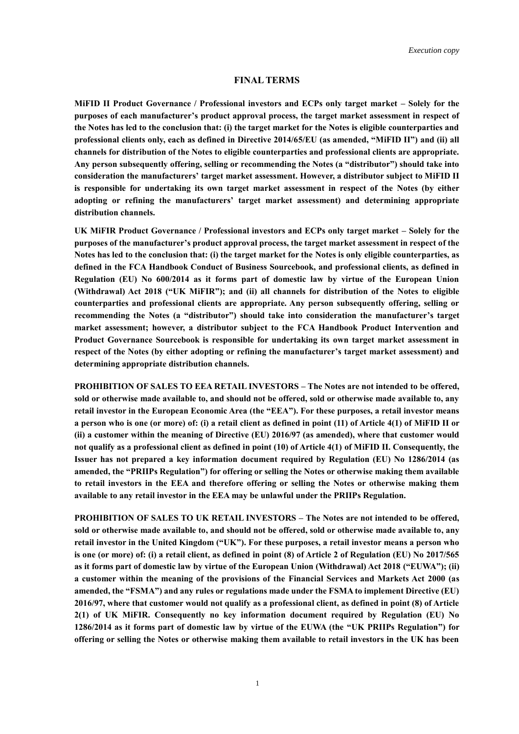## **FINAL TERMS**

**MiFID II Product Governance / Professional investors and ECPs only target market – Solely for the purposes of each manufacturer's product approval process, the target market assessment in respect of the Notes has led to the conclusion that: (i) the target market for the Notes is eligible counterparties and professional clients only, each as defined in Directive 2014/65/EU (as amended, "MiFID II") and (ii) all channels for distribution of the Notes to eligible counterparties and professional clients are appropriate. Any person subsequently offering, selling or recommending the Notes (a "distributor") should take into consideration the manufacturers' target market assessment. However, a distributor subject to MiFID II is responsible for undertaking its own target market assessment in respect of the Notes (by either adopting or refining the manufacturers' target market assessment) and determining appropriate distribution channels.**

**UK MiFIR Product Governance / Professional investors and ECPs only target market – Solely for the purposes of the manufacturer's product approval process, the target market assessment in respect of the Notes has led to the conclusion that: (i) the target market for the Notes is only eligible counterparties, as defined in the FCA Handbook Conduct of Business Sourcebook, and professional clients, as defined in Regulation (EU) No 600/2014 as it forms part of domestic law by virtue of the European Union (Withdrawal) Act 2018 ("UK MiFIR"); and (ii) all channels for distribution of the Notes to eligible counterparties and professional clients are appropriate. Any person subsequently offering, selling or recommending the Notes (a "distributor") should take into consideration the manufacturer's target market assessment; however, a distributor subject to the FCA Handbook Product Intervention and Product Governance Sourcebook is responsible for undertaking its own target market assessment in respect of the Notes (by either adopting or refining the manufacturer's target market assessment) and determining appropriate distribution channels.**

**PROHIBITION OF SALES TO EEA RETAIL INVESTORS – The Notes are not intended to be offered, sold or otherwise made available to, and should not be offered, sold or otherwise made available to, any retail investor in the European Economic Area (the "EEA"). For these purposes, a retail investor means a person who is one (or more) of: (i) a retail client as defined in point (11) of Article 4(1) of MiFID II or (ii) a customer within the meaning of Directive (EU) 2016/97 (as amended), where that customer would not qualify as a professional client as defined in point (10) of Article 4(1) of MiFID II. Consequently, the Issuer has not prepared a key information document required by Regulation (EU) No 1286/2014 (as amended, the "PRIIPs Regulation") for offering or selling the Notes or otherwise making them available to retail investors in the EEA and therefore offering or selling the Notes or otherwise making them available to any retail investor in the EEA may be unlawful under the PRIIPs Regulation.**

**PROHIBITION OF SALES TO UK RETAIL INVESTORS – The Notes are not intended to be offered, sold or otherwise made available to, and should not be offered, sold or otherwise made available to, any retail investor in the United Kingdom ("UK"). For these purposes, a retail investor means a person who is one (or more) of: (i) a retail client, as defined in point (8) of Article 2 of Regulation (EU) No 2017/565 as it forms part of domestic law by virtue of the European Union (Withdrawal) Act 2018 ("EUWA"); (ii) a customer within the meaning of the provisions of the Financial Services and Markets Act 2000 (as amended, the "FSMA") and any rules or regulations made under the FSMA to implement Directive (EU) 2016/97, where that customer would not qualify as a professional client, as defined in point (8) of Article 2(1) of UK MiFIR. Consequently no key information document required by Regulation (EU) No 1286/2014 as it forms part of domestic law by virtue of the EUWA (the "UK PRIIPs Regulation") for offering or selling the Notes or otherwise making them available to retail investors in the UK has been**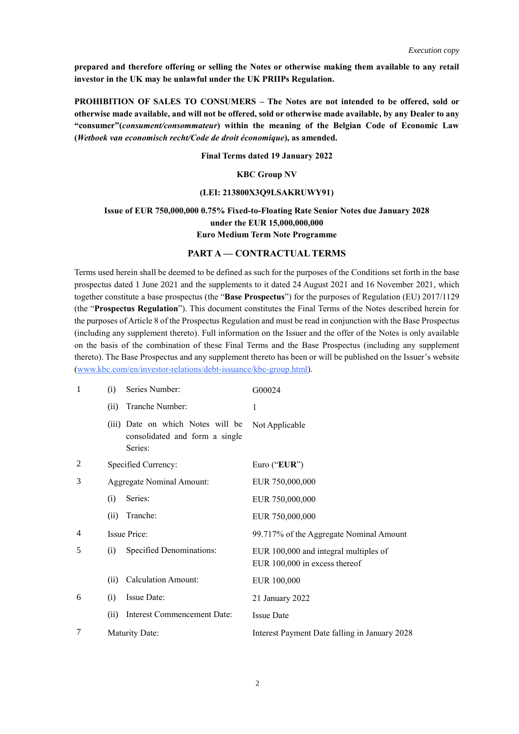**prepared and therefore offering or selling the Notes or otherwise making them available to any retail investor in the UK may be unlawful under the UK PRIIPs Regulation.**

**PROHIBITION OF SALES TO CONSUMERS – The Notes are not intended to be offered, sold or otherwise made available, and will not be offered, sold or otherwise made available, by any Dealer to any "consumer"(***consument/consommateur***) within the meaning of the Belgian Code of Economic Law (***Wetboek van economisch recht/Code de droit économique***), as amended.**

#### **Final Terms dated 19 January 2022**

## **KBC Group NV**

#### **(LEI: 213800X3Q9LSAKRUWY91)**

## **Issue of EUR 750,000,000 0.75% Fixed-to-Floating Rate Senior Notes due January 2028 under the EUR 15,000,000,000 Euro Medium Term Note Programme**

## **PART A — CONTRACTUAL TERMS**

Terms used herein shall be deemed to be defined as such for the purposes of the Conditions set forth in the base prospectus dated 1 June 2021 and the supplements to it dated 24 August 2021 and 16 November 2021, which together constitute a base prospectus (the "**Base Prospectus**") for the purposes of Regulation (EU) 2017/1129 (the "**Prospectus Regulation**"). This document constitutes the Final Terms of the Notes described herein for the purposes of Article 8 of the Prospectus Regulation and must be read in conjunction with the Base Prospectus (including any supplement thereto). Full information on the Issuer and the offer of the Notes is only available on the basis of the combination of these Final Terms and the Base Prospectus (including any supplement thereto). The Base Prospectus and any supplement thereto has been or will be published on the Issuer's website (www.kbc.com/en/investor-relations/debt-issuance/kbc-group.html).

| 1 | (i)  | Series Number:                                                                 | G00024                                                                 |
|---|------|--------------------------------------------------------------------------------|------------------------------------------------------------------------|
|   | (ii) | Tranche Number:                                                                | $\mathbf{1}$                                                           |
|   |      | (iii) Date on which Notes will be<br>consolidated and form a single<br>Series: | Not Applicable                                                         |
| 2 |      | Specified Currency:                                                            | Euro ("EUR")                                                           |
| 3 |      | <b>Aggregate Nominal Amount:</b>                                               | EUR 750,000,000                                                        |
|   | (i)  | Series:                                                                        | EUR 750,000,000                                                        |
|   | (ii) | Tranche:                                                                       | EUR 750,000,000                                                        |
| 4 |      | <b>Issue Price:</b>                                                            | 99.717% of the Aggregate Nominal Amount                                |
| 5 | (i)  | Specified Denominations:                                                       | EUR 100,000 and integral multiples of<br>EUR 100,000 in excess thereof |
|   | (ii) | <b>Calculation Amount:</b>                                                     | EUR 100,000                                                            |
| 6 | (i)  | Issue Date:                                                                    | 21 January 2022                                                        |
|   | (ii) | Interest Commencement Date:                                                    | <b>Issue Date</b>                                                      |
| 7 |      | <b>Maturity Date:</b>                                                          | Interest Payment Date falling in January 2028                          |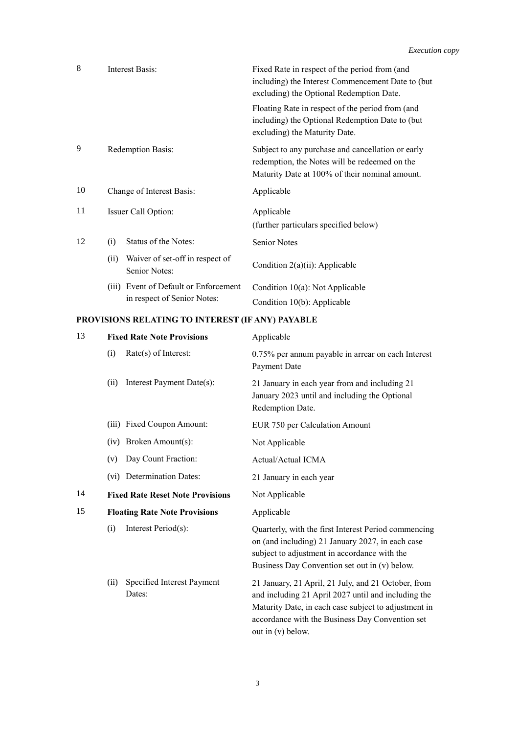| 8  | Interest Basis:                                                      | Fixed Rate in respect of the period from (and<br>including) the Interest Commencement Date to (but<br>excluding) the Optional Redemption Date.       |
|----|----------------------------------------------------------------------|------------------------------------------------------------------------------------------------------------------------------------------------------|
|    |                                                                      | Floating Rate in respect of the period from (and<br>including) the Optional Redemption Date to (but<br>excluding) the Maturity Date.                 |
| 9  | Redemption Basis:                                                    | Subject to any purchase and cancellation or early<br>redemption, the Notes will be redeemed on the<br>Maturity Date at 100% of their nominal amount. |
| 10 | Change of Interest Basis:                                            | Applicable                                                                                                                                           |
| 11 | Issuer Call Option:                                                  | Applicable<br>(further particulars specified below)                                                                                                  |
| 12 | Status of the Notes:<br>(i)                                          | Senior Notes                                                                                                                                         |
|    | Waiver of set-off in respect of<br>(ii)<br>Senior Notes:             | Condition 2(a)(ii): Applicable                                                                                                                       |
|    | (iii) Event of Default or Enforcement<br>in respect of Senior Notes: | Condition $10(a)$ : Not Applicable<br>Condition 10(b): Applicable                                                                                    |

# **PROVISIONS RELATING TO INTEREST (IF ANY) PAYABLE**

| 13 | <b>Fixed Rate Note Provisions</b>            | Applicable                                                                                                                                                                                                                                 |
|----|----------------------------------------------|--------------------------------------------------------------------------------------------------------------------------------------------------------------------------------------------------------------------------------------------|
|    | Rate(s) of Interest:<br>(i)                  | 0.75% per annum payable in arrear on each Interest<br>Payment Date                                                                                                                                                                         |
|    | Interest Payment Date(s):<br>(ii)            | 21 January in each year from and including 21<br>January 2023 until and including the Optional<br>Redemption Date.                                                                                                                         |
|    | (iii) Fixed Coupon Amount:                   | EUR 750 per Calculation Amount                                                                                                                                                                                                             |
|    | (iv) Broken Amount(s):                       | Not Applicable                                                                                                                                                                                                                             |
|    | Day Count Fraction:<br>(v)                   | Actual/Actual ICMA                                                                                                                                                                                                                         |
|    | (vi) Determination Dates:                    | 21 January in each year                                                                                                                                                                                                                    |
| 14 | <b>Fixed Rate Reset Note Provisions</b>      | Not Applicable                                                                                                                                                                                                                             |
| 15 | <b>Floating Rate Note Provisions</b>         | Applicable                                                                                                                                                                                                                                 |
|    | Interest Period(s):<br>(i)                   | Quarterly, with the first Interest Period commencing<br>on (and including) 21 January 2027, in each case<br>subject to adjustment in accordance with the<br>Business Day Convention set out in (v) below.                                  |
|    | Specified Interest Payment<br>(ii)<br>Dates: | 21 January, 21 April, 21 July, and 21 October, from<br>and including 21 April 2027 until and including the<br>Maturity Date, in each case subject to adjustment in<br>accordance with the Business Day Convention set<br>out in (v) below. |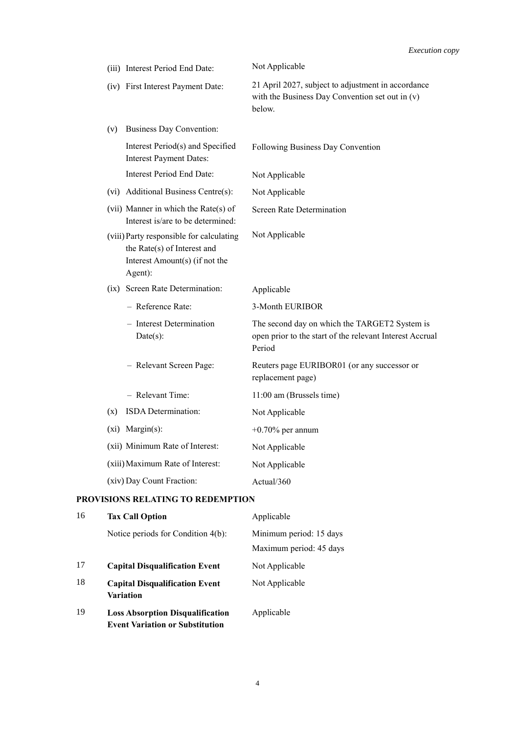|                                   | (iii) Interest Period End Date:                                                                                      | Not Applicable                                                                                                      |
|-----------------------------------|----------------------------------------------------------------------------------------------------------------------|---------------------------------------------------------------------------------------------------------------------|
|                                   | (iv) First Interest Payment Date:                                                                                    | 21 April 2027, subject to adjustment in accordance<br>with the Business Day Convention set out in $(v)$<br>below.   |
| (v)                               | Business Day Convention:                                                                                             |                                                                                                                     |
|                                   | Interest Period(s) and Specified<br><b>Interest Payment Dates:</b>                                                   | Following Business Day Convention                                                                                   |
|                                   | Interest Period End Date:                                                                                            | Not Applicable                                                                                                      |
|                                   | (vi) Additional Business Centre(s):                                                                                  | Not Applicable                                                                                                      |
|                                   | (vii) Manner in which the Rate(s) of<br>Interest is/are to be determined:                                            | <b>Screen Rate Determination</b>                                                                                    |
|                                   | (viii) Party responsible for calculating<br>the Rate(s) of Interest and<br>Interest Amount(s) (if not the<br>Agent): | Not Applicable                                                                                                      |
|                                   | (ix) Screen Rate Determination:                                                                                      | Applicable                                                                                                          |
|                                   | - Reference Rate:                                                                                                    | 3-Month EURIBOR                                                                                                     |
|                                   | - Interest Determination<br>$Date(s)$ :                                                                              | The second day on which the TARGET2 System is<br>open prior to the start of the relevant Interest Accrual<br>Period |
|                                   | - Relevant Screen Page:                                                                                              | Reuters page EURIBOR01 (or any successor or<br>replacement page)                                                    |
|                                   | - Relevant Time:                                                                                                     | 11:00 am (Brussels time)                                                                                            |
| (x)                               | ISDA Determination:                                                                                                  | Not Applicable                                                                                                      |
|                                   | (xi) Margin(s):                                                                                                      | $+0.70\%$ per annum                                                                                                 |
|                                   | (xii) Minimum Rate of Interest:                                                                                      | Not Applicable                                                                                                      |
|                                   | (xiii) Maximum Rate of Interest:                                                                                     | Not Applicable                                                                                                      |
|                                   | (xiv) Day Count Fraction:                                                                                            | Actual/360                                                                                                          |
| PROVISIONS RELATING TO REDEMPTION |                                                                                                                      |                                                                                                                     |

| 16 | <b>Tax Call Option</b>                                                            | Applicable              |
|----|-----------------------------------------------------------------------------------|-------------------------|
|    | Notice periods for Condition 4(b):                                                | Minimum period: 15 days |
|    |                                                                                   | Maximum period: 45 days |
| 17 | <b>Capital Disqualification Event</b>                                             | Not Applicable          |
| 18 | <b>Capital Disqualification Event</b><br>Variation                                | Not Applicable          |
| 19 | <b>Loss Absorption Disqualification</b><br><b>Event Variation or Substitution</b> | Applicable              |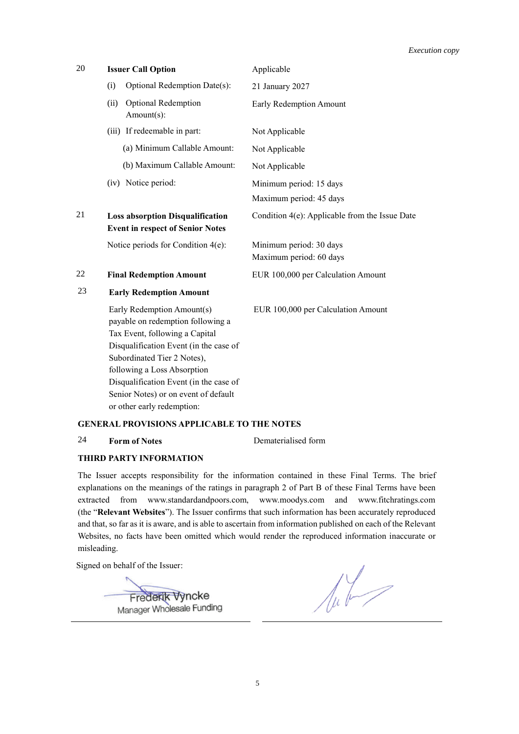| 20 | <b>Issuer Call Option</b>                                                                                                                                                                                                                                                                                                 | Applicable                                         |
|----|---------------------------------------------------------------------------------------------------------------------------------------------------------------------------------------------------------------------------------------------------------------------------------------------------------------------------|----------------------------------------------------|
|    | Optional Redemption Date(s):<br>(i)                                                                                                                                                                                                                                                                                       | 21 January 2027                                    |
|    | <b>Optional Redemption</b><br>(ii)<br>Amount(s):                                                                                                                                                                                                                                                                          | Early Redemption Amount                            |
|    | (iii) If redeemable in part:                                                                                                                                                                                                                                                                                              | Not Applicable                                     |
|    | (a) Minimum Callable Amount:                                                                                                                                                                                                                                                                                              | Not Applicable                                     |
|    | (b) Maximum Callable Amount:                                                                                                                                                                                                                                                                                              | Not Applicable                                     |
|    | (iv) Notice period:                                                                                                                                                                                                                                                                                                       | Minimum period: 15 days                            |
|    |                                                                                                                                                                                                                                                                                                                           | Maximum period: 45 days                            |
| 21 | <b>Loss absorption Disqualification</b><br><b>Event in respect of Senior Notes</b>                                                                                                                                                                                                                                        | Condition 4(e): Applicable from the Issue Date     |
|    | Notice periods for Condition 4(e):                                                                                                                                                                                                                                                                                        | Minimum period: 30 days<br>Maximum period: 60 days |
| 22 | <b>Final Redemption Amount</b>                                                                                                                                                                                                                                                                                            | EUR 100,000 per Calculation Amount                 |
| 23 | <b>Early Redemption Amount</b>                                                                                                                                                                                                                                                                                            |                                                    |
|    | Early Redemption Amount(s)<br>payable on redemption following a<br>Tax Event, following a Capital<br>Disqualification Event (in the case of<br>Subordinated Tier 2 Notes),<br>following a Loss Absorption<br>Disqualification Event (in the case of<br>Senior Notes) or on event of default<br>or other early redemption: | EUR 100,000 per Calculation Amount                 |

## **GENERAL PROVISIONS APPLICABLE TO THE NOTES**

## 24 **Form of Notes** Dematerialised form

## **THIRD PARTY INFORMATION**

The Issuer accepts responsibility for the information contained in these Final Terms. The brief explanations on the meanings of the ratings in paragraph 2 of Part B of these Final Terms have been extracted from www.standardandpoors.com, www.moodys.com and www.fitchratings.com (the "**Relevant Websites**"). The Issuer confirms that such information has been accurately reproduced and that, so far as it is aware, and is able to ascertain from information published on each of the Relevant Websites, no facts have been omitted which would render the reproduced information inaccurate or misleading.

Signed on behalf of the Issuer:

Frederik Vyncke<br>Manager Wholesale Funding

 $\sqrt{\mu}$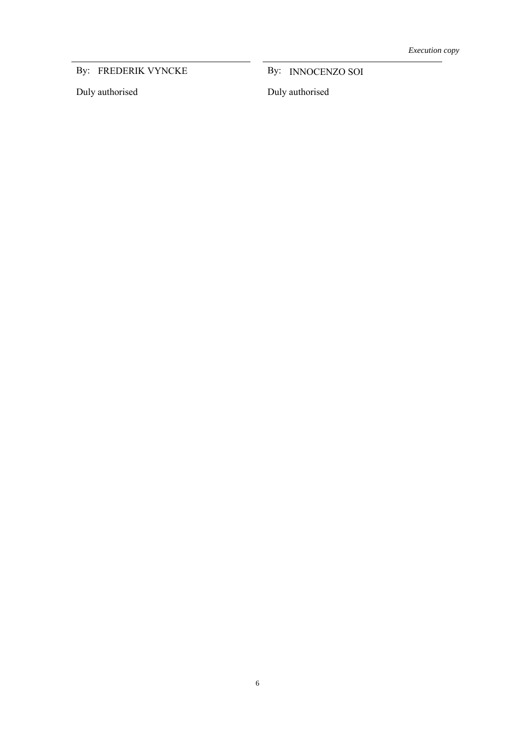By: FREDERIK VYNCKE

Duly authorised

FREDERIK VYNCKE By: INNOCENZO SOI

Duly authorised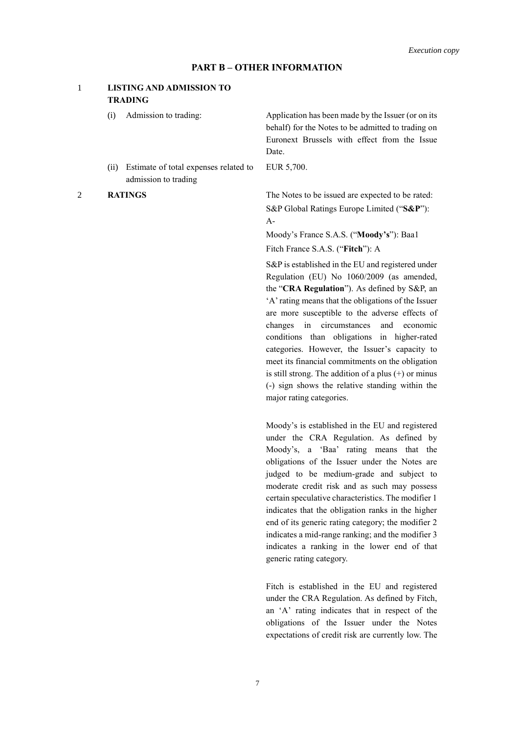## **PART B – OTHER INFORMATION**

## 1 **LISTING AND ADMISSION TO TRADING**

- 
- (ii) Estimate of total expenses related to admission to trading

(i) Admission to trading: Application has been made by the Issuer (or on its behalf) for the Notes to be admitted to trading on Euronext Brussels with effect from the Issue Date.

EUR 5,700.

2 **RATINGS** The Notes to be issued are expected to be rated: S&P Global Ratings Europe Limited ("**S&P**"): A-

> Moody's France S.A.S. ("**Moody's**"): Baa1 Fitch France S.A.S. ("**Fitch**"): A

S&P is established in the EU and registered under Regulation (EU) No 1060/2009 (as amended, the "**CRA Regulation**"). As defined by S&P, an 'A' rating means that the obligations of the Issuer are more susceptible to the adverse effects of changes in circumstances and economic conditions than obligations in higher-rated categories. However, the Issuer's capacity to meet its financial commitments on the obligation is still strong. The addition of a plus (+) or minus (-) sign shows the relative standing within the major rating categories.

Moody's is established in the EU and registered under the CRA Regulation. As defined by Moody's, a 'Baa' rating means that the obligations of the Issuer under the Notes are judged to be medium-grade and subject to moderate credit risk and as such may possess certain speculative characteristics. The modifier 1 indicates that the obligation ranks in the higher end of its generic rating category; the modifier 2 indicates a mid-range ranking; and the modifier 3 indicates a ranking in the lower end of that generic rating category.

Fitch is established in the EU and registered under the CRA Regulation. As defined by Fitch, an 'A' rating indicates that in respect of the obligations of the Issuer under the Notes expectations of credit risk are currently low. The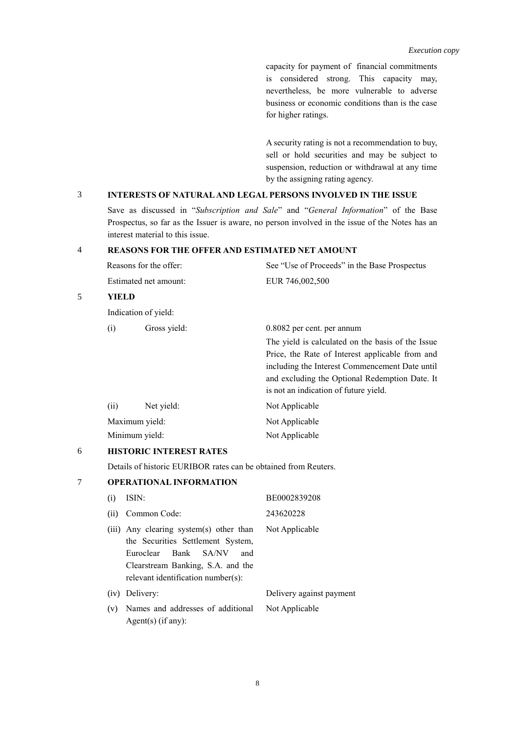capacity for payment of financial commitments is considered strong. This capacity may, nevertheless, be more vulnerable to adverse business or economic conditions than is the case for higher ratings.

A security rating is not a recommendation to buy, sell or hold securities and may be subject to suspension, reduction or withdrawal at any time by the assigning rating agency.

## 3 **INTERESTS OF NATURAL AND LEGAL PERSONS INVOLVED IN THE ISSUE**

Save as discussed in "*Subscription and Sale*" and "*General Information*" of the Base Prospectus, so far as the Issuer is aware, no person involved in the issue of the Notes has an interest material to this issue.

## 4 **REASONS FOR THE OFFER AND ESTIMATED NET AMOUNT**

|   | Reasons for the offer:<br>Estimated net amount: |                           | See "Use of Proceeds" in the Base Prospectus      |  |
|---|-------------------------------------------------|---------------------------|---------------------------------------------------|--|
|   |                                                 |                           | EUR 746,002,500                                   |  |
| 5 | YIELD                                           |                           |                                                   |  |
|   |                                                 | Indication of yield:      |                                                   |  |
|   | (i)                                             | Gross yield:              | 0.8082 per cent. per annum                        |  |
|   |                                                 |                           | The yield is calculated on the basis of the Issue |  |
|   |                                                 |                           | Price, the Rate of Interest applicable from and   |  |
|   |                                                 |                           | including the Interest Commencement Date until    |  |
|   |                                                 |                           | and excluding the Optional Redemption Date. It    |  |
|   |                                                 |                           | is not an indication of future yield.             |  |
|   | (ii)                                            | Net yield:                | Not Applicable                                    |  |
|   |                                                 | Maximum yield:            | Not Applicable                                    |  |
|   |                                                 | Minimum yield:            | Not Applicable                                    |  |
| ╭ |                                                 | HIGRADIA INDEREGE D. (BEG |                                                   |  |

## 6 **HISTORIC INTEREST RATES**

Details of historic EURIBOR rates can be obtained from Reuters.

# 7 **OPERATIONAL INFORMATION**

| (i) | ISIN:                                                                                                                                                                                                 | BE0002839208             |
|-----|-------------------------------------------------------------------------------------------------------------------------------------------------------------------------------------------------------|--------------------------|
|     | (ii) Common Code:                                                                                                                                                                                     | 243620228                |
|     | (iii) Any clearing system(s) other than Not Applicable<br>the Securities Settlement System,<br>Euroclear Bank SA/NV<br>and<br>Clearstream Banking, S.A. and the<br>relevant identification number(s): |                          |
|     | (iv) Delivery:                                                                                                                                                                                        | Delivery against payment |
|     | (v) Names and addresses of additional<br>Agent(s) $(if any):$                                                                                                                                         | Not Applicable           |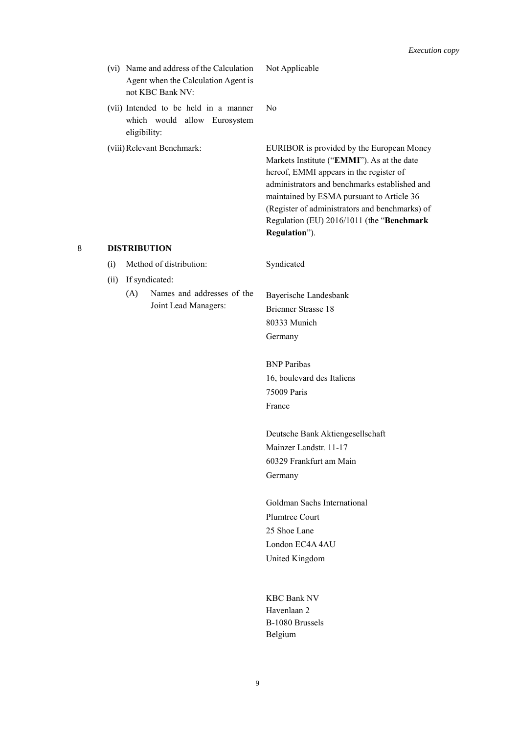- (vi) Name and address of the Calculation Agent when the Calculation Agent is not KBC Bank NV:
- (vii) Intended to be held in a manner which would allow Eurosystem eligibility:
- 

Not Applicable

No

(viii)Relevant Benchmark: EURIBOR is provided by the European Money Markets Institute ("**EMMI**"). As at the date hereof, EMMI appears in the register of administrators and benchmarks established and maintained by ESMA pursuant to Article 36 (Register of administrators and benchmarks) of Regulation (EU) 2016/1011 (the "**Benchmark Regulation**").

## 8 **DISTRIBUTION**

- (i) Method of distribution: Syndicated
- (ii) If syndicated:
	- (A) Names and addresses of the Joint Lead Managers:

Bayerische Landesbank Brienner Strasse 18 80333 Munich Germany

BNP Paribas 16, boulevard des Italiens 75009 Paris France

Deutsche Bank Aktiengesellschaft Mainzer Landstr. 11-17 60329 Frankfurt am Main Germany

Goldman Sachs International Plumtree Court 25 Shoe Lane London EC4A 4AU United Kingdom

KBC Bank NV Havenlaan 2 B-1080 Brussels Belgium